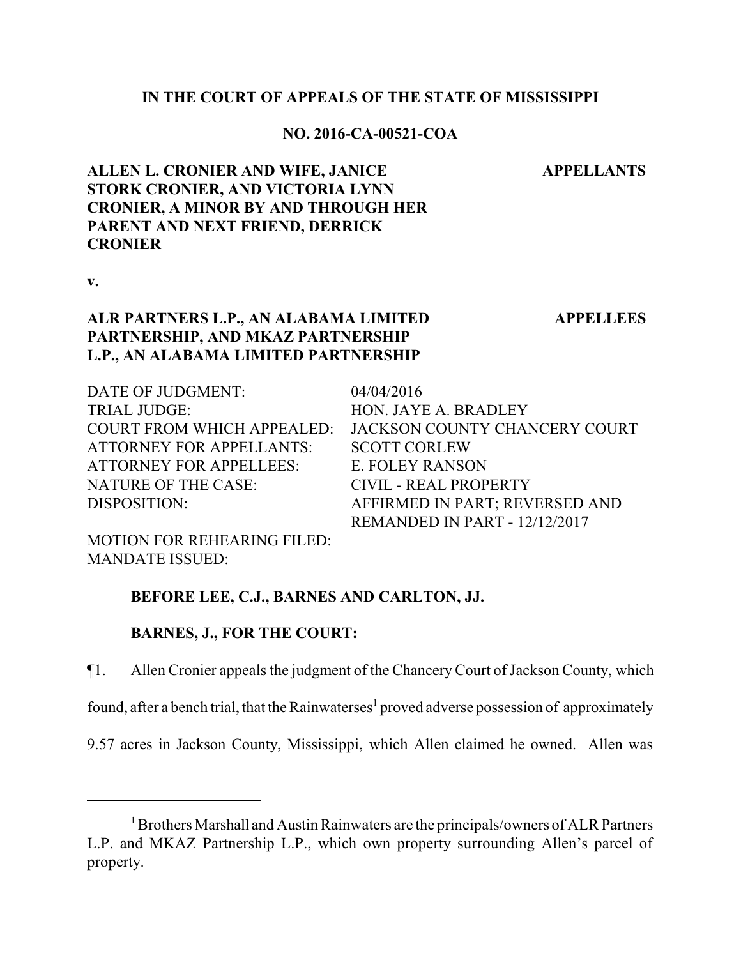## **IN THE COURT OF APPEALS OF THE STATE OF MISSISSIPPI**

## **NO. 2016-CA-00521-COA**

**APPELLANTS**

# **ALLEN L. CRONIER AND WIFE, JANICE STORK CRONIER, AND VICTORIA LYNN CRONIER, A MINOR BY AND THROUGH HER PARENT AND NEXT FRIEND, DERRICK CRONIER**

**v.**

# **ALR PARTNERS L.P., AN ALABAMA LIMITED PARTNERSHIP, AND MKAZ PARTNERSHIP L.P., AN ALABAMA LIMITED PARTNERSHIP**

**APPELLEES**

| DATE OF JUDGMENT:                 | 04/04/2016                     |
|-----------------------------------|--------------------------------|
| <b>TRIAL JUDGE:</b>               | HON. JAYE A. BRADLEY           |
| <b>COURT FROM WHICH APPEALED:</b> | JACKSON COUNTY CHANCERY COURT  |
| <b>ATTORNEY FOR APPELLANTS:</b>   | <b>SCOTT CORLEW</b>            |
| <b>ATTORNEY FOR APPELLEES:</b>    | E. FOLEY RANSON                |
| NATURE OF THE CASE:               | <b>CIVIL - REAL PROPERTY</b>   |
| DISPOSITION:                      | AFFIRMED IN PART; REVERSED AND |
|                                   | REMANDED IN PART - 12/12/2017  |

MOTION FOR REHEARING FILED: MANDATE ISSUED:

# **BEFORE LEE, C.J., BARNES AND CARLTON, JJ.**

## **BARNES, J., FOR THE COURT:**

¶1. Allen Cronier appeals the judgment of the ChanceryCourt of Jackson County, which

found, after a bench trial, that the Rainwaterses<sup>1</sup> proved adverse possession of approximately

9.57 acres in Jackson County, Mississippi, which Allen claimed he owned. Allen was

<sup>&</sup>lt;sup>1</sup> Brothers Marshall and Austin Rainwaters are the principals/owners of ALR Partners L.P. and MKAZ Partnership L.P., which own property surrounding Allen's parcel of property.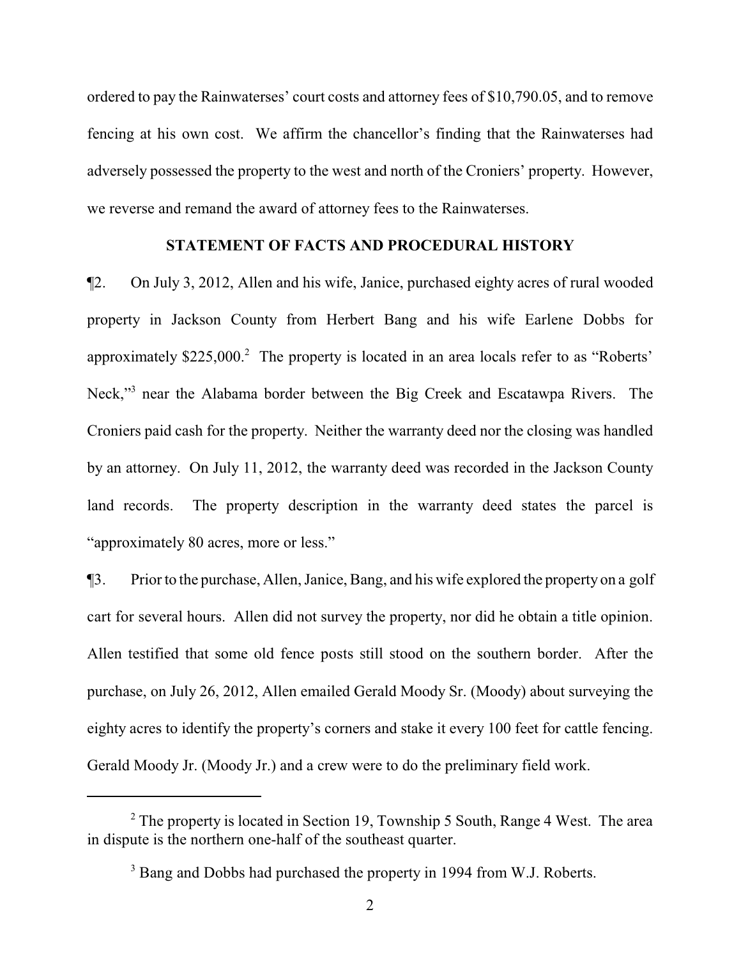ordered to pay the Rainwaterses' court costs and attorney fees of \$10,790.05, and to remove fencing at his own cost. We affirm the chancellor's finding that the Rainwaterses had adversely possessed the property to the west and north of the Croniers' property. However, we reverse and remand the award of attorney fees to the Rainwaterses.

#### **STATEMENT OF FACTS AND PROCEDURAL HISTORY**

¶2. On July 3, 2012, Allen and his wife, Janice, purchased eighty acres of rural wooded property in Jackson County from Herbert Bang and his wife Earlene Dobbs for approximately \$225,000.<sup>2</sup> The property is located in an area locals refer to as "Roberts' Neck,"<sup>3</sup> near the Alabama border between the Big Creek and Escatawpa Rivers. The Croniers paid cash for the property. Neither the warranty deed nor the closing was handled by an attorney. On July 11, 2012, the warranty deed was recorded in the Jackson County land records. The property description in the warranty deed states the parcel is "approximately 80 acres, more or less."

¶3. Prior to the purchase, Allen, Janice, Bang, and his wife explored the property on a golf cart for several hours. Allen did not survey the property, nor did he obtain a title opinion. Allen testified that some old fence posts still stood on the southern border. After the purchase, on July 26, 2012, Allen emailed Gerald Moody Sr. (Moody) about surveying the eighty acres to identify the property's corners and stake it every 100 feet for cattle fencing. Gerald Moody Jr. (Moody Jr.) and a crew were to do the preliminary field work.

 $2$  The property is located in Section 19, Township 5 South, Range 4 West. The area in dispute is the northern one-half of the southeast quarter.

<sup>&</sup>lt;sup>3</sup> Bang and Dobbs had purchased the property in 1994 from W.J. Roberts.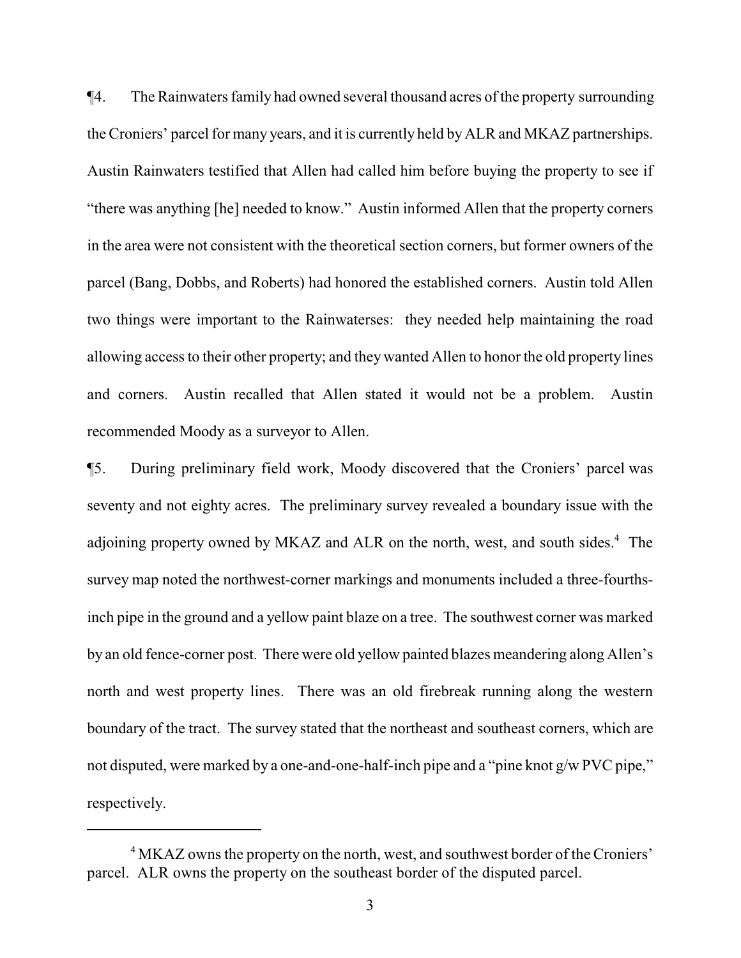¶4. The Rainwaters family had owned several thousand acres of the property surrounding the Croniers' parcel for many years, and it is currently held by ALR and MKAZ partnerships. Austin Rainwaters testified that Allen had called him before buying the property to see if "there was anything [he] needed to know." Austin informed Allen that the property corners in the area were not consistent with the theoretical section corners, but former owners of the parcel (Bang, Dobbs, and Roberts) had honored the established corners. Austin told Allen two things were important to the Rainwaterses: they needed help maintaining the road allowing access to their other property; and they wanted Allen to honor the old property lines and corners. Austin recalled that Allen stated it would not be a problem. Austin recommended Moody as a surveyor to Allen.

¶5. During preliminary field work, Moody discovered that the Croniers' parcel was seventy and not eighty acres. The preliminary survey revealed a boundary issue with the adjoining property owned by MKAZ and ALR on the north, west, and south sides.<sup>4</sup> The survey map noted the northwest-corner markings and monuments included a three-fourthsinch pipe in the ground and a yellow paint blaze on a tree. The southwest corner was marked by an old fence-corner post. There were old yellow painted blazes meandering along Allen's north and west property lines. There was an old firebreak running along the western boundary of the tract. The survey stated that the northeast and southeast corners, which are not disputed, were marked by a one-and-one-half-inch pipe and a "pine knot g/w PVC pipe," respectively.

<sup>&</sup>lt;sup>4</sup> MKAZ owns the property on the north, west, and southwest border of the Croniers' parcel. ALR owns the property on the southeast border of the disputed parcel.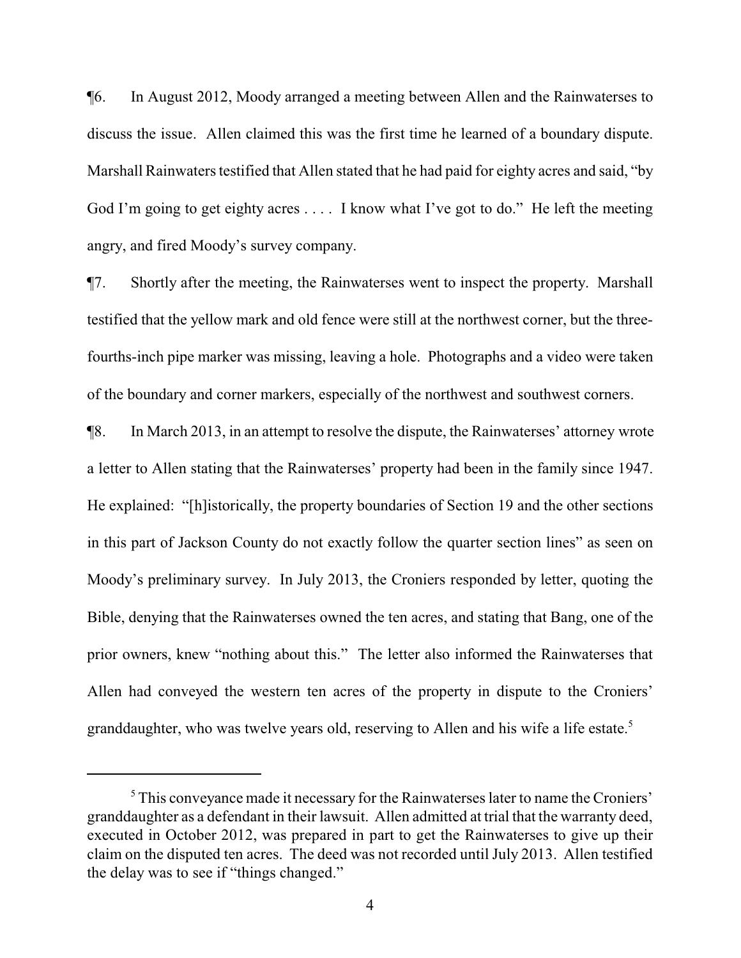¶6. In August 2012, Moody arranged a meeting between Allen and the Rainwaterses to discuss the issue. Allen claimed this was the first time he learned of a boundary dispute. Marshall Rainwaters testified that Allen stated that he had paid for eighty acres and said, "by God I'm going to get eighty acres . . . . I know what I've got to do." He left the meeting angry, and fired Moody's survey company.

¶7. Shortly after the meeting, the Rainwaterses went to inspect the property. Marshall testified that the yellow mark and old fence were still at the northwest corner, but the threefourths-inch pipe marker was missing, leaving a hole. Photographs and a video were taken of the boundary and corner markers, especially of the northwest and southwest corners.

¶8. In March 2013, in an attempt to resolve the dispute, the Rainwaterses' attorney wrote a letter to Allen stating that the Rainwaterses' property had been in the family since 1947. He explained: "[h]istorically, the property boundaries of Section 19 and the other sections in this part of Jackson County do not exactly follow the quarter section lines" as seen on Moody's preliminary survey. In July 2013, the Croniers responded by letter, quoting the Bible, denying that the Rainwaterses owned the ten acres, and stating that Bang, one of the prior owners, knew "nothing about this." The letter also informed the Rainwaterses that Allen had conveyed the western ten acres of the property in dispute to the Croniers' granddaughter, who was twelve years old, reserving to Allen and his wife a life estate.<sup>5</sup>

<sup>&</sup>lt;sup>5</sup> This conveyance made it necessary for the Rainwaterses later to name the Croniers' granddaughter as a defendant in their lawsuit. Allen admitted at trial that the warranty deed, executed in October 2012, was prepared in part to get the Rainwaterses to give up their claim on the disputed ten acres. The deed was not recorded until July 2013. Allen testified the delay was to see if "things changed."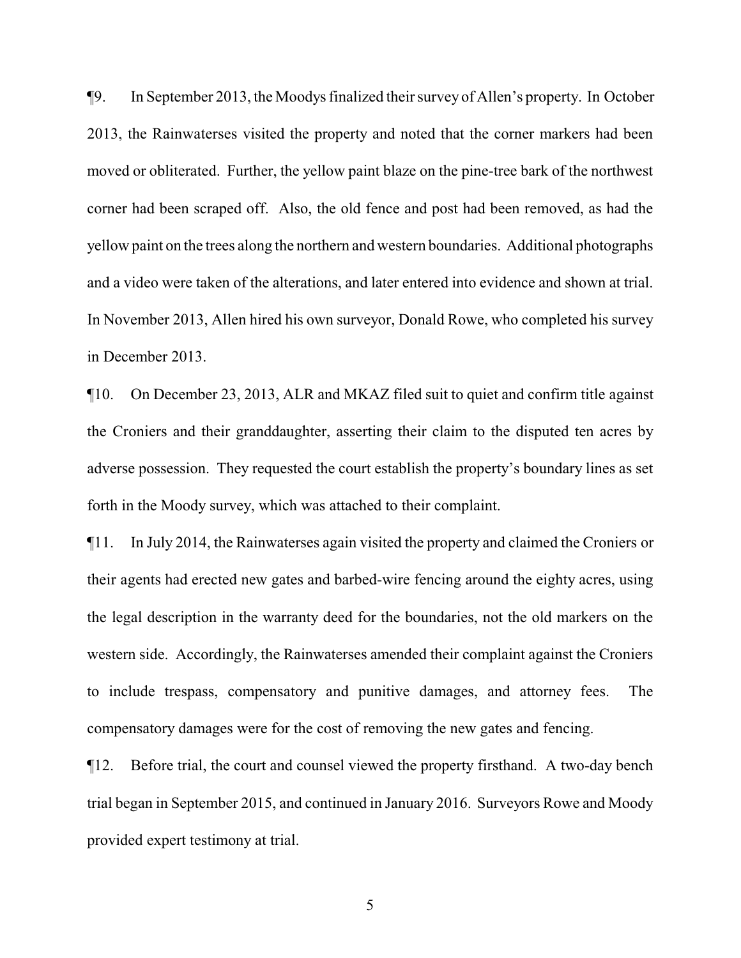¶9. In September 2013, the Moodys finalized their survey of Allen's property. In October 2013, the Rainwaterses visited the property and noted that the corner markers had been moved or obliterated. Further, the yellow paint blaze on the pine-tree bark of the northwest corner had been scraped off. Also, the old fence and post had been removed, as had the yellow paint on the trees along the northern and western boundaries. Additional photographs and a video were taken of the alterations, and later entered into evidence and shown at trial. In November 2013, Allen hired his own surveyor, Donald Rowe, who completed his survey in December 2013.

¶10. On December 23, 2013, ALR and MKAZ filed suit to quiet and confirm title against the Croniers and their granddaughter, asserting their claim to the disputed ten acres by adverse possession. They requested the court establish the property's boundary lines as set forth in the Moody survey, which was attached to their complaint.

¶11. In July 2014, the Rainwaterses again visited the property and claimed the Croniers or their agents had erected new gates and barbed-wire fencing around the eighty acres, using the legal description in the warranty deed for the boundaries, not the old markers on the western side. Accordingly, the Rainwaterses amended their complaint against the Croniers to include trespass, compensatory and punitive damages, and attorney fees. The compensatory damages were for the cost of removing the new gates and fencing.

¶12. Before trial, the court and counsel viewed the property firsthand. A two-day bench trial began in September 2015, and continued in January 2016. Surveyors Rowe and Moody provided expert testimony at trial.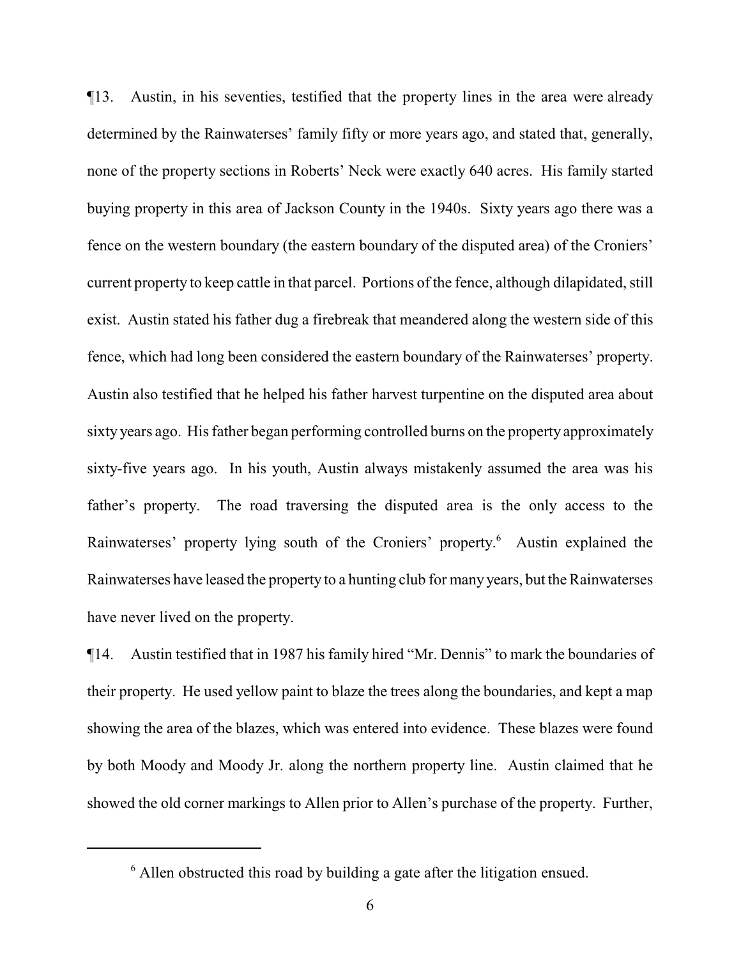¶13. Austin, in his seventies, testified that the property lines in the area were already determined by the Rainwaterses' family fifty or more years ago, and stated that, generally, none of the property sections in Roberts' Neck were exactly 640 acres. His family started buying property in this area of Jackson County in the 1940s. Sixty years ago there was a fence on the western boundary (the eastern boundary of the disputed area) of the Croniers' current property to keep cattle in that parcel. Portions of the fence, although dilapidated, still exist. Austin stated his father dug a firebreak that meandered along the western side of this fence, which had long been considered the eastern boundary of the Rainwaterses' property. Austin also testified that he helped his father harvest turpentine on the disputed area about sixty years ago. His father began performing controlled burns on the property approximately sixty-five years ago. In his youth, Austin always mistakenly assumed the area was his father's property. The road traversing the disputed area is the only access to the Rainwaterses' property lying south of the Croniers' property.<sup>6</sup> Austin explained the Rainwaterses have leased the property to a hunting club for many years, but the Rainwaterses have never lived on the property.

¶14. Austin testified that in 1987 his family hired "Mr. Dennis" to mark the boundaries of their property. He used yellow paint to blaze the trees along the boundaries, and kept a map showing the area of the blazes, which was entered into evidence. These blazes were found by both Moody and Moody Jr. along the northern property line. Austin claimed that he showed the old corner markings to Allen prior to Allen's purchase of the property. Further,

 $6$  Allen obstructed this road by building a gate after the litigation ensued.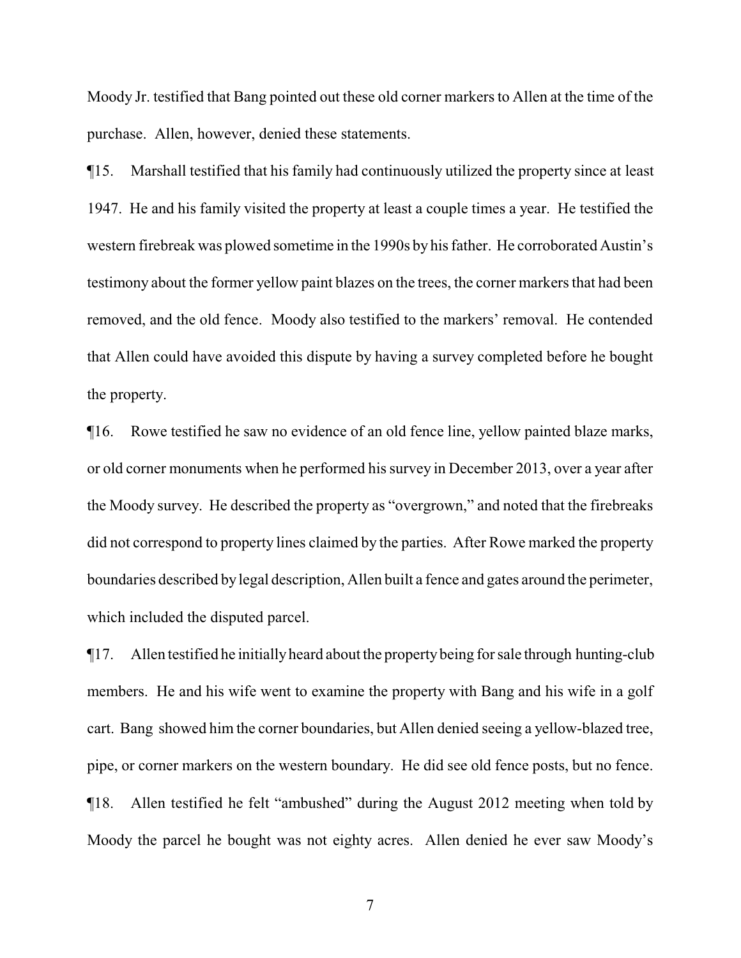Moody Jr. testified that Bang pointed out these old corner markers to Allen at the time of the purchase. Allen, however, denied these statements.

¶15. Marshall testified that his family had continuously utilized the property since at least 1947. He and his family visited the property at least a couple times a year. He testified the western firebreak was plowed sometime in the 1990s by his father. He corroborated Austin's testimony about the former yellow paint blazes on the trees, the corner markers that had been removed, and the old fence. Moody also testified to the markers' removal. He contended that Allen could have avoided this dispute by having a survey completed before he bought the property.

¶16. Rowe testified he saw no evidence of an old fence line, yellow painted blaze marks, or old corner monuments when he performed his survey in December 2013, over a year after the Moody survey. He described the property as "overgrown," and noted that the firebreaks did not correspond to property lines claimed by the parties. After Rowe marked the property boundaries described bylegal description, Allen built a fence and gates around the perimeter, which included the disputed parcel.

¶17. Allen testified he initiallyheard about the propertybeing for sale through hunting-club members. He and his wife went to examine the property with Bang and his wife in a golf cart. Bang showed him the corner boundaries, but Allen denied seeing a yellow-blazed tree, pipe, or corner markers on the western boundary. He did see old fence posts, but no fence. ¶18. Allen testified he felt "ambushed" during the August 2012 meeting when told by Moody the parcel he bought was not eighty acres. Allen denied he ever saw Moody's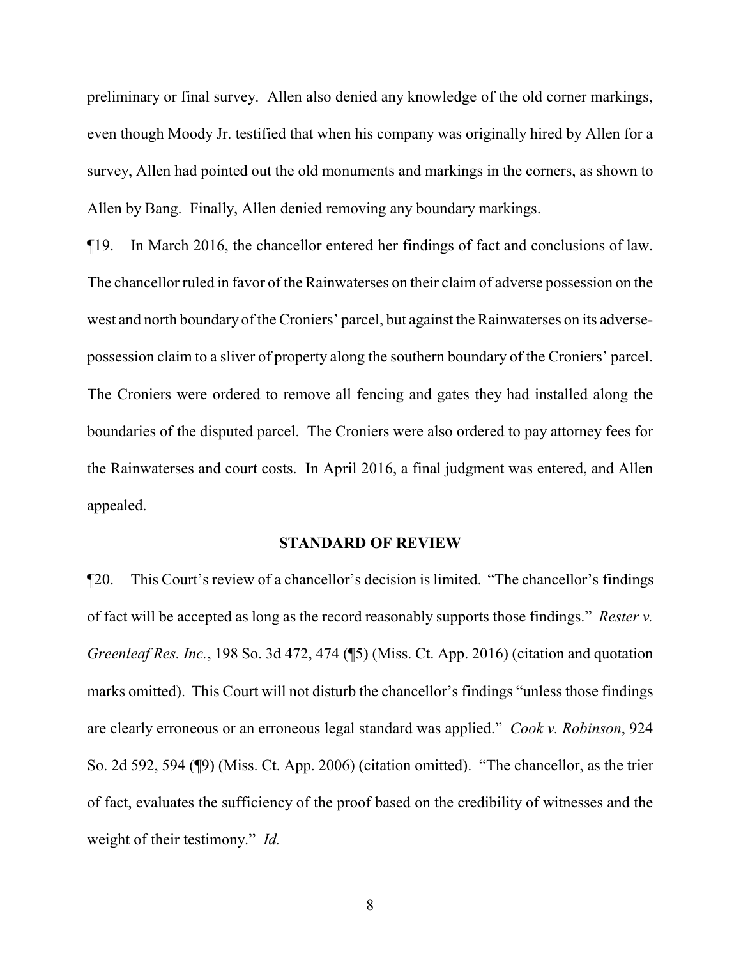preliminary or final survey. Allen also denied any knowledge of the old corner markings, even though Moody Jr. testified that when his company was originally hired by Allen for a survey, Allen had pointed out the old monuments and markings in the corners, as shown to Allen by Bang. Finally, Allen denied removing any boundary markings.

¶19. In March 2016, the chancellor entered her findings of fact and conclusions of law. The chancellor ruled in favor of the Rainwaterses on their claim of adverse possession on the west and north boundary of the Croniers' parcel, but against the Rainwaterses on its adversepossession claim to a sliver of property along the southern boundary of the Croniers' parcel. The Croniers were ordered to remove all fencing and gates they had installed along the boundaries of the disputed parcel. The Croniers were also ordered to pay attorney fees for the Rainwaterses and court costs. In April 2016, a final judgment was entered, and Allen appealed.

### **STANDARD OF REVIEW**

¶20. This Court's review of a chancellor's decision is limited. "The chancellor's findings of fact will be accepted as long as the record reasonably supports those findings." *Rester v. Greenleaf Res. Inc.*, 198 So. 3d 472, 474 (¶5) (Miss. Ct. App. 2016) (citation and quotation marks omitted). This Court will not disturb the chancellor's findings "unless those findings are clearly erroneous or an erroneous legal standard was applied." *Cook v. Robinson*, 924 So. 2d 592, 594 (¶9) (Miss. Ct. App. 2006) (citation omitted). "The chancellor, as the trier of fact, evaluates the sufficiency of the proof based on the credibility of witnesses and the weight of their testimony." *Id.*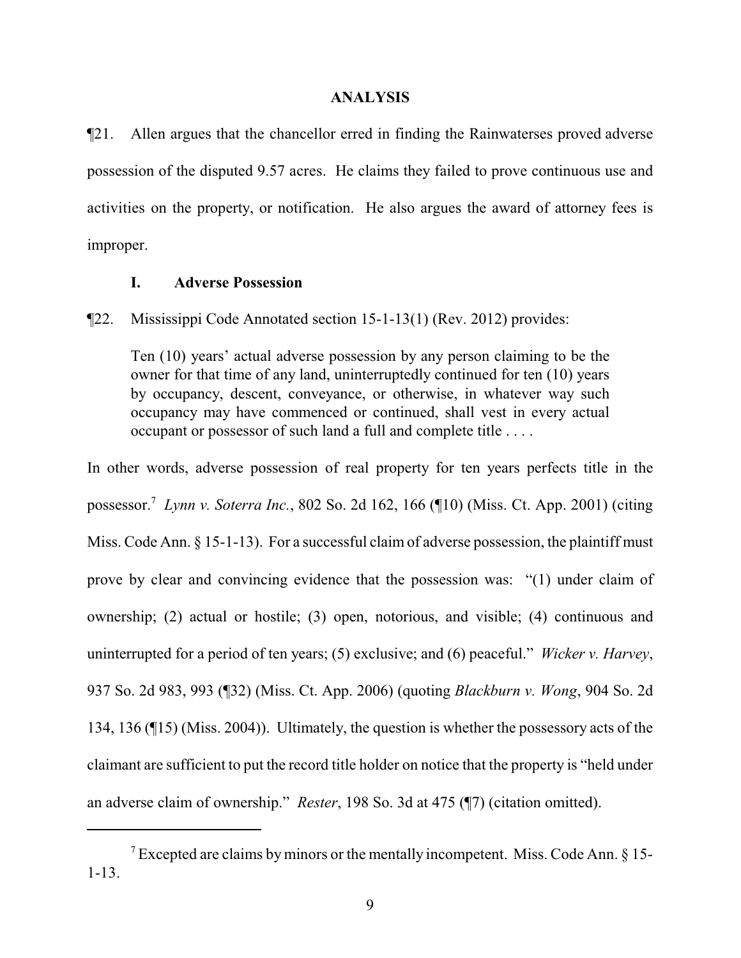#### **ANALYSIS**

¶21. Allen argues that the chancellor erred in finding the Rainwaterses proved adverse possession of the disputed 9.57 acres. He claims they failed to prove continuous use and activities on the property, or notification. He also argues the award of attorney fees is improper.

### **I. Adverse Possession**

¶22. Mississippi Code Annotated section 15-1-13(1) (Rev. 2012) provides:

Ten (10) years' actual adverse possession by any person claiming to be the owner for that time of any land, uninterruptedly continued for ten (10) years by occupancy, descent, conveyance, or otherwise, in whatever way such occupancy may have commenced or continued, shall vest in every actual occupant or possessor of such land a full and complete title . . . .

In other words, adverse possession of real property for ten years perfects title in the possessor.<sup>7</sup> *Lynn v. Soterra Inc.*, 802 So. 2d 162, 166 (¶10) (Miss. Ct. App. 2001) (citing Miss. Code Ann. § 15-1-13). For a successful claim of adverse possession, the plaintiff must prove by clear and convincing evidence that the possession was: "(1) under claim of ownership; (2) actual or hostile; (3) open, notorious, and visible; (4) continuous and uninterrupted for a period of ten years; (5) exclusive; and (6) peaceful." *Wicker v. Harvey*, 937 So. 2d 983, 993 (¶32) (Miss. Ct. App. 2006) (quoting *Blackburn v. Wong*, 904 So. 2d 134, 136 (¶15) (Miss. 2004)). Ultimately, the question is whether the possessory acts of the claimant are sufficient to put the record title holder on notice that the property is "held under an adverse claim of ownership." *Rester*, 198 So. 3d at 475 (¶7) (citation omitted).

<sup>&</sup>lt;sup>7</sup> Excepted are claims by minors or the mentally incompetent. Miss. Code Ann.  $\S 15$ -1-13.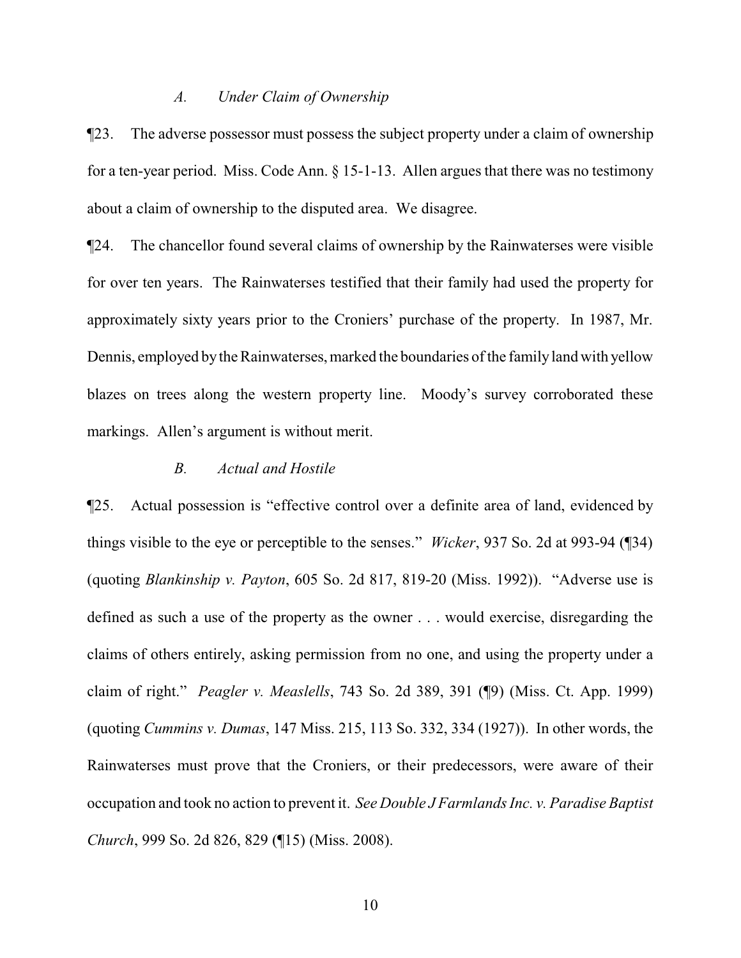#### *A. Under Claim of Ownership*

¶23. The adverse possessor must possess the subject property under a claim of ownership for a ten-year period. Miss. Code Ann. § 15-1-13. Allen argues that there was no testimony about a claim of ownership to the disputed area. We disagree.

¶24. The chancellor found several claims of ownership by the Rainwaterses were visible for over ten years. The Rainwaterses testified that their family had used the property for approximately sixty years prior to the Croniers' purchase of the property. In 1987, Mr. Dennis, employed by the Rainwaterses, marked the boundaries of the family land with yellow blazes on trees along the western property line. Moody's survey corroborated these markings. Allen's argument is without merit.

## *B. Actual and Hostile*

¶25. Actual possession is "effective control over a definite area of land, evidenced by things visible to the eye or perceptible to the senses." *Wicker*, 937 So. 2d at 993-94 (¶34) (quoting *Blankinship v. Payton*, 605 So. 2d 817, 819-20 (Miss. 1992)). "Adverse use is defined as such a use of the property as the owner . . . would exercise, disregarding the claims of others entirely, asking permission from no one, and using the property under a claim of right." *Peagler v. Measlells*, 743 So. 2d 389, 391 (¶9) (Miss. Ct. App. 1999) (quoting *Cummins v. Dumas*, 147 Miss. 215, 113 So. 332, 334 (1927)). In other words, the Rainwaterses must prove that the Croniers, or their predecessors, were aware of their occupation and took no action to prevent it. *See Double J Farmlands Inc. v. Paradise Baptist Church*, 999 So. 2d 826, 829 (¶15) (Miss. 2008).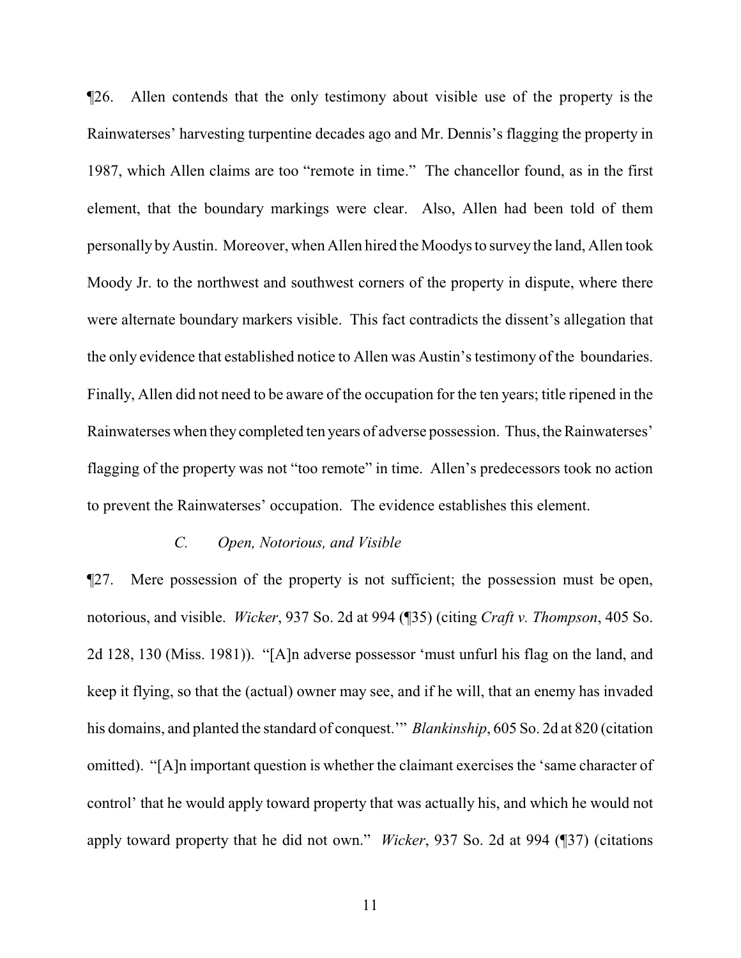¶26. Allen contends that the only testimony about visible use of the property is the Rainwaterses' harvesting turpentine decades ago and Mr. Dennis's flagging the property in 1987, which Allen claims are too "remote in time." The chancellor found, as in the first element, that the boundary markings were clear. Also, Allen had been told of them personally byAustin. Moreover, when Allen hired the Moodys to survey the land, Allen took Moody Jr. to the northwest and southwest corners of the property in dispute, where there were alternate boundary markers visible. This fact contradicts the dissent's allegation that the only evidence that established notice to Allen was Austin's testimony of the boundaries. Finally, Allen did not need to be aware of the occupation for the ten years; title ripened in the Rainwaterses when they completed ten years of adverse possession. Thus, the Rainwaterses' flagging of the property was not "too remote" in time. Allen's predecessors took no action to prevent the Rainwaterses' occupation. The evidence establishes this element.

## *C. Open, Notorious, and Visible*

¶27. Mere possession of the property is not sufficient; the possession must be open, notorious, and visible. *Wicker*, 937 So. 2d at 994 (¶35) (citing *Craft v. Thompson*, 405 So. 2d 128, 130 (Miss. 1981)). "[A]n adverse possessor 'must unfurl his flag on the land, and keep it flying, so that the (actual) owner may see, and if he will, that an enemy has invaded his domains, and planted the standard of conquest.'" *Blankinship*, 605 So. 2d at 820 (citation omitted). "[A]n important question is whether the claimant exercises the 'same character of control' that he would apply toward property that was actually his, and which he would not apply toward property that he did not own." *Wicker*, 937 So. 2d at 994 (¶37) (citations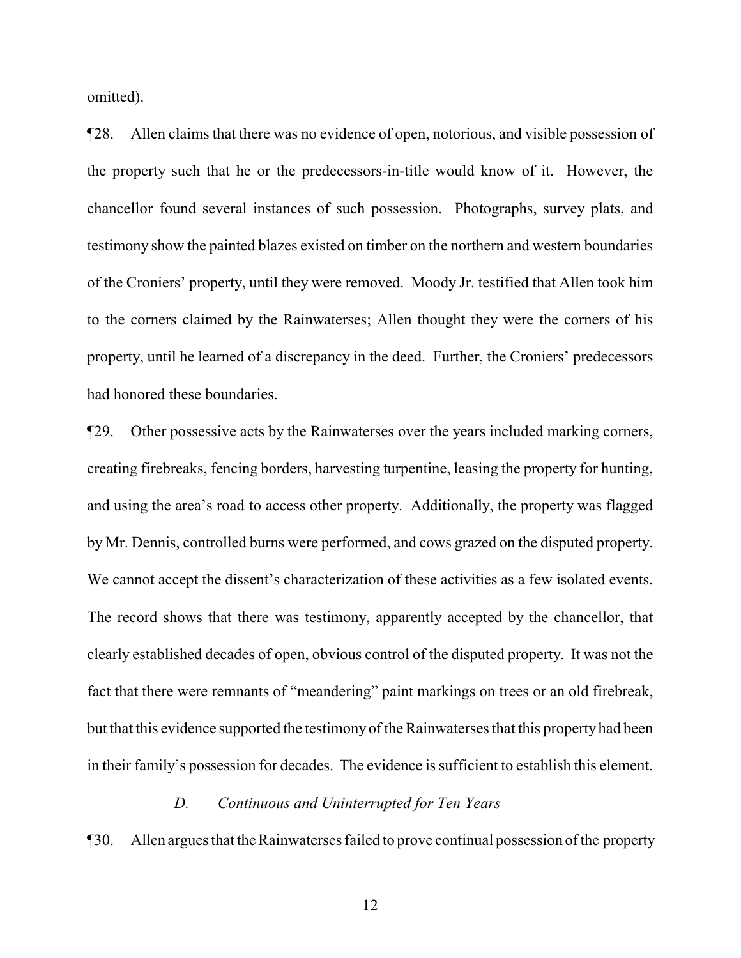omitted).

¶28. Allen claims that there was no evidence of open, notorious, and visible possession of the property such that he or the predecessors-in-title would know of it. However, the chancellor found several instances of such possession. Photographs, survey plats, and testimony show the painted blazes existed on timber on the northern and western boundaries of the Croniers' property, until they were removed. Moody Jr. testified that Allen took him to the corners claimed by the Rainwaterses; Allen thought they were the corners of his property, until he learned of a discrepancy in the deed. Further, the Croniers' predecessors had honored these boundaries.

¶29. Other possessive acts by the Rainwaterses over the years included marking corners, creating firebreaks, fencing borders, harvesting turpentine, leasing the property for hunting, and using the area's road to access other property. Additionally, the property was flagged by Mr. Dennis, controlled burns were performed, and cows grazed on the disputed property. We cannot accept the dissent's characterization of these activities as a few isolated events. The record shows that there was testimony, apparently accepted by the chancellor, that clearly established decades of open, obvious control of the disputed property. It was not the fact that there were remnants of "meandering" paint markings on trees or an old firebreak, but that this evidence supported the testimony of the Rainwaterses that this property had been in their family's possession for decades. The evidence is sufficient to establish this element.

### *D. Continuous and Uninterrupted for Ten Years*

¶30. Allen argues that the Rainwaterses failed to prove continual possession of the property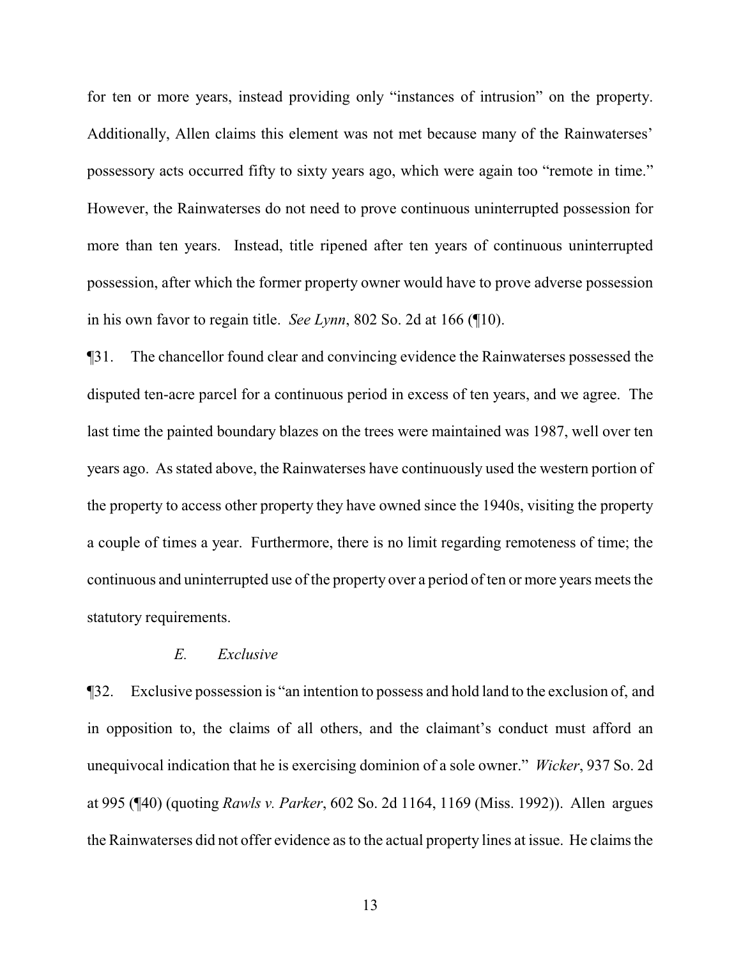for ten or more years, instead providing only "instances of intrusion" on the property. Additionally, Allen claims this element was not met because many of the Rainwaterses' possessory acts occurred fifty to sixty years ago, which were again too "remote in time." However, the Rainwaterses do not need to prove continuous uninterrupted possession for more than ten years. Instead, title ripened after ten years of continuous uninterrupted possession, after which the former property owner would have to prove adverse possession in his own favor to regain title. *See Lynn*, 802 So. 2d at 166 (¶10).

¶31. The chancellor found clear and convincing evidence the Rainwaterses possessed the disputed ten-acre parcel for a continuous period in excess of ten years, and we agree. The last time the painted boundary blazes on the trees were maintained was 1987, well over ten years ago. As stated above, the Rainwaterses have continuously used the western portion of the property to access other property they have owned since the 1940s, visiting the property a couple of times a year. Furthermore, there is no limit regarding remoteness of time; the continuous and uninterrupted use of the property over a period of ten or more years meets the statutory requirements.

### *E. Exclusive*

¶32. Exclusive possession is "an intention to possess and hold land to the exclusion of, and in opposition to, the claims of all others, and the claimant's conduct must afford an unequivocal indication that he is exercising dominion of a sole owner." *Wicker*, 937 So. 2d at 995 (¶40) (quoting *Rawls v. Parker*, 602 So. 2d 1164, 1169 (Miss. 1992)). Allen argues the Rainwaterses did not offer evidence as to the actual property lines at issue. He claims the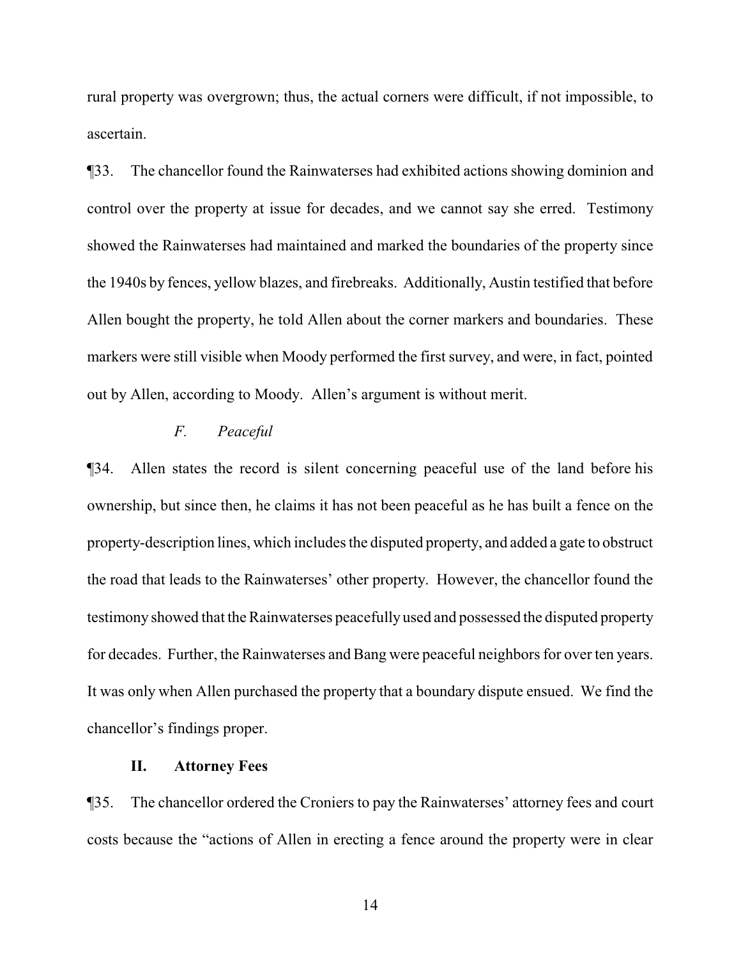rural property was overgrown; thus, the actual corners were difficult, if not impossible, to ascertain.

¶33. The chancellor found the Rainwaterses had exhibited actions showing dominion and control over the property at issue for decades, and we cannot say she erred. Testimony showed the Rainwaterses had maintained and marked the boundaries of the property since the 1940s by fences, yellow blazes, and firebreaks. Additionally, Austin testified that before Allen bought the property, he told Allen about the corner markers and boundaries. These markers were still visible when Moody performed the first survey, and were, in fact, pointed out by Allen, according to Moody. Allen's argument is without merit.

## *F. Peaceful*

¶34. Allen states the record is silent concerning peaceful use of the land before his ownership, but since then, he claims it has not been peaceful as he has built a fence on the property-description lines, which includes the disputed property, and added a gate to obstruct the road that leads to the Rainwaterses' other property. However, the chancellor found the testimony showed that the Rainwaterses peacefully used and possessed the disputed property for decades. Further, the Rainwaterses and Bang were peaceful neighbors for over ten years. It was only when Allen purchased the property that a boundary dispute ensued. We find the chancellor's findings proper.

### **II. Attorney Fees**

¶35. The chancellor ordered the Croniers to pay the Rainwaterses' attorney fees and court costs because the "actions of Allen in erecting a fence around the property were in clear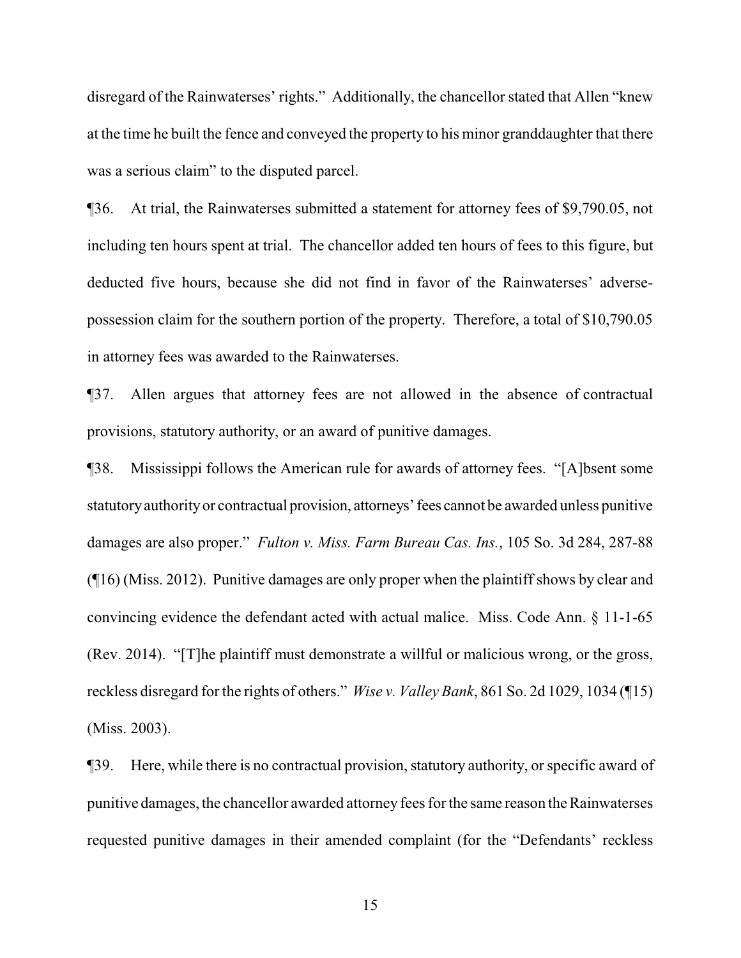disregard of the Rainwaterses' rights." Additionally, the chancellor stated that Allen "knew at the time he built the fence and conveyed the property to his minor granddaughter that there was a serious claim" to the disputed parcel.

¶36. At trial, the Rainwaterses submitted a statement for attorney fees of \$9,790.05, not including ten hours spent at trial. The chancellor added ten hours of fees to this figure, but deducted five hours, because she did not find in favor of the Rainwaterses' adversepossession claim for the southern portion of the property. Therefore, a total of \$10,790.05 in attorney fees was awarded to the Rainwaterses.

¶37. Allen argues that attorney fees are not allowed in the absence of contractual provisions, statutory authority, or an award of punitive damages.

¶38. Mississippi follows the American rule for awards of attorney fees. "[A]bsent some statutoryauthorityor contractual provision, attorneys'fees cannot be awarded unless punitive damages are also proper." *Fulton v. Miss. Farm Bureau Cas. Ins.*, 105 So. 3d 284, 287-88 (¶16) (Miss. 2012). Punitive damages are only proper when the plaintiff shows by clear and convincing evidence the defendant acted with actual malice. Miss. Code Ann. § 11-1-65 (Rev. 2014). "[T]he plaintiff must demonstrate a willful or malicious wrong, or the gross, reckless disregard for the rights of others." *Wise v. Valley Bank*, 861 So. 2d 1029, 1034 (¶15) (Miss. 2003).

¶39. Here, while there is no contractual provision, statutory authority, or specific award of punitive damages, the chancellor awarded attorney fees for the same reason the Rainwaterses requested punitive damages in their amended complaint (for the "Defendants' reckless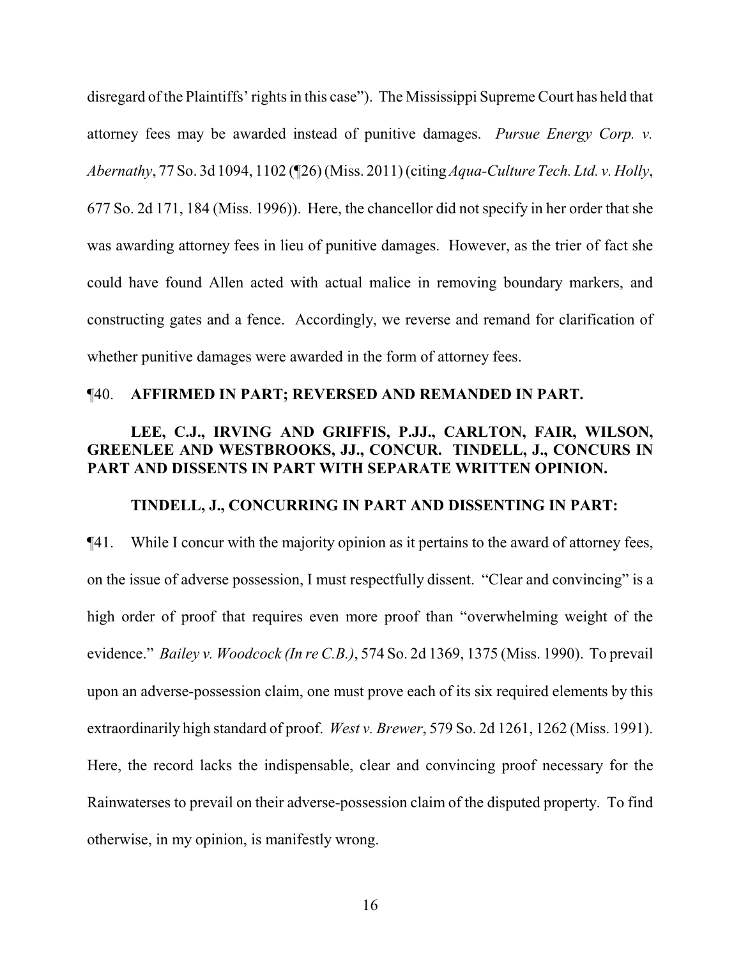disregard of the Plaintiffs' rights in this case"). The Mississippi Supreme Court has held that attorney fees may be awarded instead of punitive damages. *Pursue Energy Corp. v. Abernathy*, 77 So. 3d 1094, 1102 (¶26) (Miss. 2011) (citing *Aqua-Culture Tech. Ltd. v. Holly*, 677 So. 2d 171, 184 (Miss. 1996)). Here, the chancellor did not specify in her order that she was awarding attorney fees in lieu of punitive damages. However, as the trier of fact she could have found Allen acted with actual malice in removing boundary markers, and constructing gates and a fence. Accordingly, we reverse and remand for clarification of whether punitive damages were awarded in the form of attorney fees.

#### ¶40. **AFFIRMED IN PART; REVERSED AND REMANDED IN PART.**

# **LEE, C.J., IRVING AND GRIFFIS, P.JJ., CARLTON, FAIR, WILSON, GREENLEE AND WESTBROOKS, JJ., CONCUR. TINDELL, J., CONCURS IN PART AND DISSENTS IN PART WITH SEPARATE WRITTEN OPINION.**

#### **TINDELL, J., CONCURRING IN PART AND DISSENTING IN PART:**

¶41. While I concur with the majority opinion as it pertains to the award of attorney fees, on the issue of adverse possession, I must respectfully dissent. "Clear and convincing" is a high order of proof that requires even more proof than "overwhelming weight of the evidence." *Bailey v. Woodcock (In re C.B.)*, 574 So. 2d 1369, 1375 (Miss. 1990). To prevail upon an adverse-possession claim, one must prove each of its six required elements by this extraordinarily high standard of proof. *West v. Brewer*, 579 So. 2d 1261, 1262 (Miss. 1991). Here, the record lacks the indispensable, clear and convincing proof necessary for the Rainwaterses to prevail on their adverse-possession claim of the disputed property. To find otherwise, in my opinion, is manifestly wrong.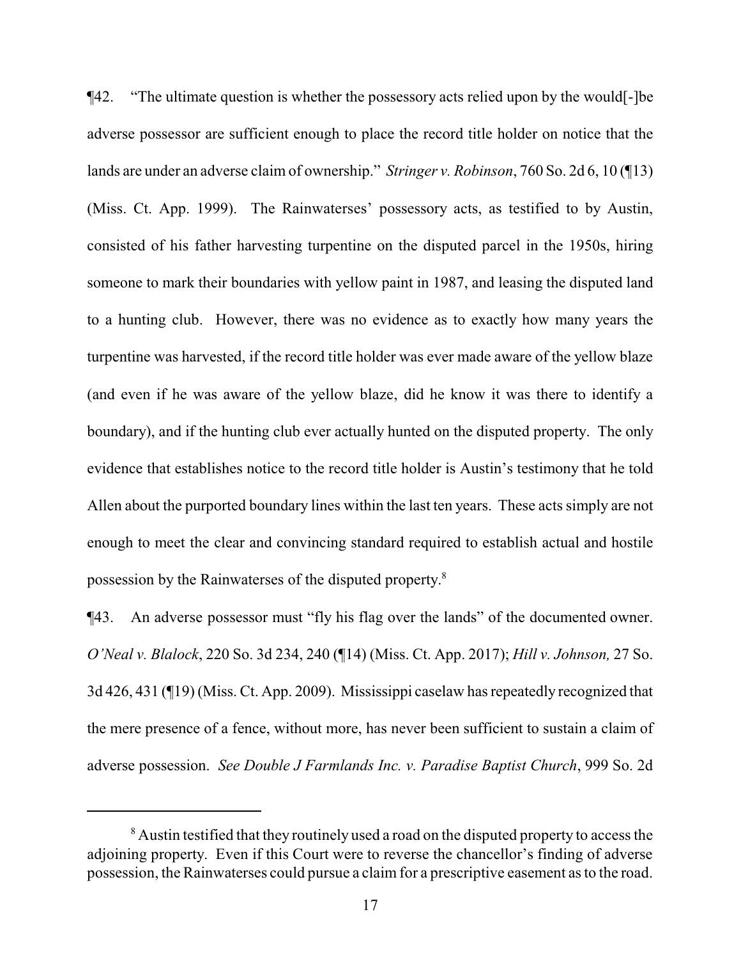¶42. "The ultimate question is whether the possessory acts relied upon by the would[-]be adverse possessor are sufficient enough to place the record title holder on notice that the lands are under an adverse claim of ownership." *Stringer v. Robinson*, 760 So. 2d 6, 10 (¶13) (Miss. Ct. App. 1999). The Rainwaterses' possessory acts, as testified to by Austin, consisted of his father harvesting turpentine on the disputed parcel in the 1950s, hiring someone to mark their boundaries with yellow paint in 1987, and leasing the disputed land to a hunting club. However, there was no evidence as to exactly how many years the turpentine was harvested, if the record title holder was ever made aware of the yellow blaze (and even if he was aware of the yellow blaze, did he know it was there to identify a boundary), and if the hunting club ever actually hunted on the disputed property. The only evidence that establishes notice to the record title holder is Austin's testimony that he told Allen about the purported boundary lines within the last ten years. These acts simply are not enough to meet the clear and convincing standard required to establish actual and hostile possession by the Rainwaterses of the disputed property.<sup>8</sup>

¶43. An adverse possessor must "fly his flag over the lands" of the documented owner. *O'Neal v. Blalock*, 220 So. 3d 234, 240 (¶14) (Miss. Ct. App. 2017); *Hill v. Johnson,* 27 So. 3d 426, 431 (¶19) (Miss. Ct. App. 2009). Mississippi caselaw has repeatedly recognized that the mere presence of a fence, without more, has never been sufficient to sustain a claim of adverse possession. *See Double J Farmlands Inc. v. Paradise Baptist Church*, 999 So. 2d

<sup>&</sup>lt;sup>8</sup> Austin testified that they routinely used a road on the disputed property to access the adjoining property. Even if this Court were to reverse the chancellor's finding of adverse possession, the Rainwaterses could pursue a claim for a prescriptive easement as to the road.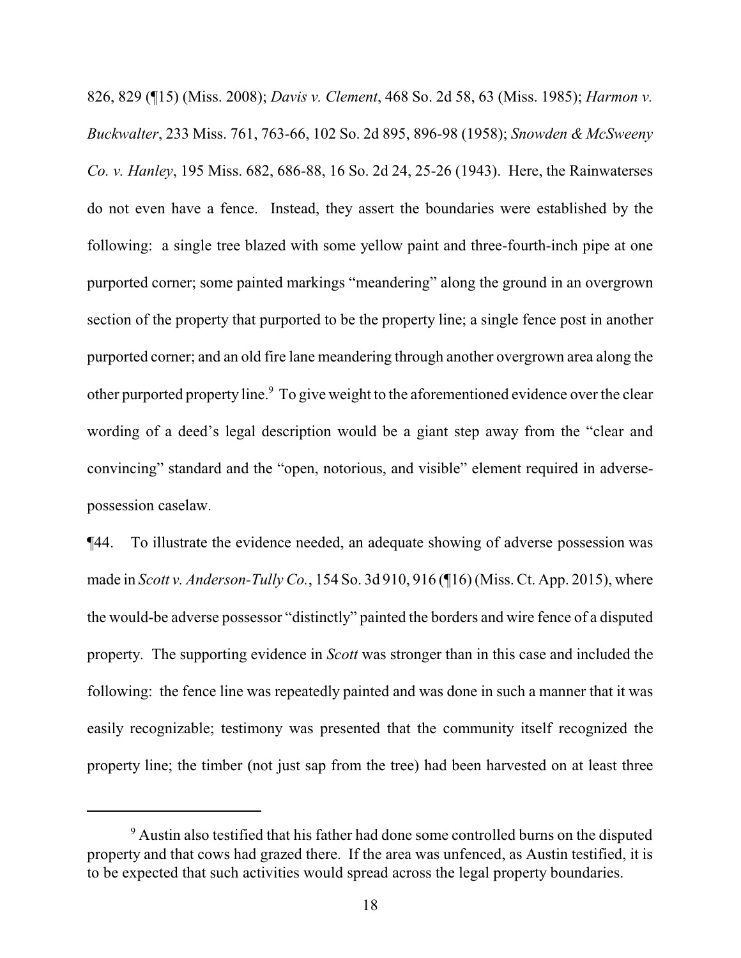826, 829 (¶15) (Miss. 2008); *Davis v. Clement*, 468 So. 2d 58, 63 (Miss. 1985); *Harmon v. Buckwalter*, 233 Miss. 761, 763-66, 102 So. 2d 895, 896-98 (1958); *Snowden & McSweeny Co. v. Hanley*, 195 Miss. 682, 686-88, 16 So. 2d 24, 25-26 (1943). Here, the Rainwaterses do not even have a fence. Instead, they assert the boundaries were established by the following: a single tree blazed with some yellow paint and three-fourth-inch pipe at one purported corner; some painted markings "meandering" along the ground in an overgrown section of the property that purported to be the property line; a single fence post in another purported corner; and an old fire lane meandering through another overgrown area along the other purported property line.<sup>9</sup> To give weight to the aforementioned evidence over the clear wording of a deed's legal description would be a giant step away from the "clear and convincing" standard and the "open, notorious, and visible" element required in adversepossession caselaw.

¶44. To illustrate the evidence needed, an adequate showing of adverse possession was made in *Scott v. Anderson-Tully Co.*, 154 So. 3d 910, 916 (¶16) (Miss. Ct. App. 2015), where the would-be adverse possessor "distinctly" painted the borders and wire fence of a disputed property. The supporting evidence in *Scott* was stronger than in this case and included the following: the fence line was repeatedly painted and was done in such a manner that it was easily recognizable; testimony was presented that the community itself recognized the property line; the timber (not just sap from the tree) had been harvested on at least three

<sup>&</sup>lt;sup>9</sup> Austin also testified that his father had done some controlled burns on the disputed property and that cows had grazed there. If the area was unfenced, as Austin testified, it is to be expected that such activities would spread across the legal property boundaries.